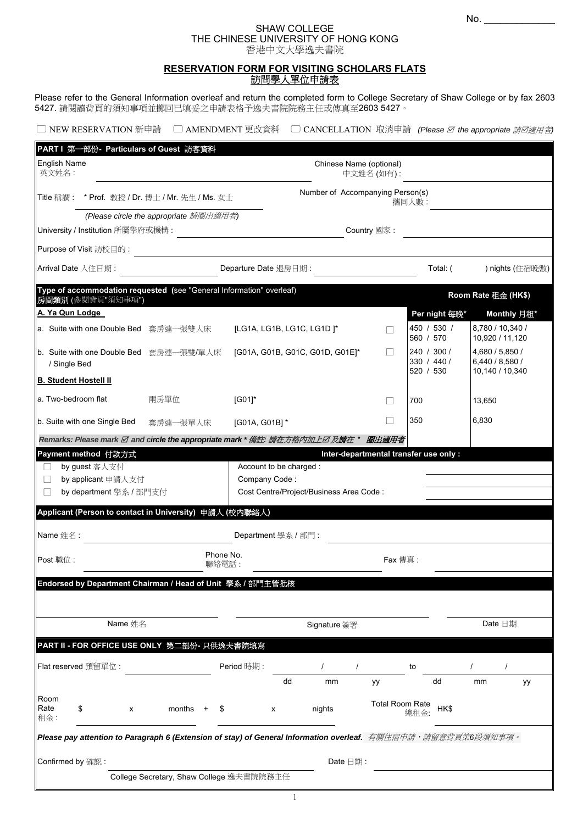# SHAW COLLEGE THE CHINESE UNIVERSITY OF HONG KONG 香港中文大學逸夫書院

# **RESERVATION FORM FOR VISITING SCHOLARS FLATS**  訪問學人單位申請表

Please refer to the General Information overleaf and return the completed form to College Secretary of Shaw College or by fax 2603 5427. 請閱讀背頁的須知事項並擲回已填妥之申請表格予逸夫書院院務主任或傳真至2603 5427。

| □ NEW RESERVATION 新申請 「 |  |  | □ AMENDMENT 更改資料 □ CANCELLATION 取消申請 (Please Ø the appropriate 請Ø適用者) |
|-------------------------|--|--|-----------------------------------------------------------------------|
|-------------------------|--|--|-----------------------------------------------------------------------|

| PART I 第一部份- Particulars of Guest 訪客資料                                                                        |                                           |                                 |                                         |              |          |                                        |                            |               |                                     |                 |  |
|---------------------------------------------------------------------------------------------------------------|-------------------------------------------|---------------------------------|-----------------------------------------|--------------|----------|----------------------------------------|----------------------------|---------------|-------------------------------------|-----------------|--|
| <b>English Name</b><br>英文姓名:                                                                                  | Chinese Name (optional)<br>中文姓名(如有):      |                                 |                                         |              |          |                                        |                            |               |                                     |                 |  |
| Title 稱謂: * Prof. 教授 / Dr. 博士 / Mr. 先生 / Ms. 女士                                                               | Number of Accompanying Person(s)<br>攜同人數: |                                 |                                         |              |          |                                        |                            |               |                                     |                 |  |
|                                                                                                               | (Please circle the appropriate 請圈出適用者)    |                                 |                                         |              |          |                                        |                            |               |                                     |                 |  |
| University / Institution 所屬學府或機構:<br>Country 國家:                                                              |                                           |                                 |                                         |              |          |                                        |                            |               |                                     |                 |  |
| ∥Purpose of Visit 訪校目的 :                                                                                      |                                           |                                 |                                         |              |          |                                        |                            |               |                                     |                 |  |
| Arrival Date 入住日期:                                                                                            |                                           | Departure Date 退房日期:            |                                         |              |          |                                        |                            | Total: (      |                                     | ) nights (住宿晚數) |  |
| Type of accommodation requested (see "General Information" overleaf)<br>房間類別 (參閱背頁"須知事項")                     |                                           |                                 |                                         |              |          |                                        |                            |               | Room Rate 租金 (HK\$)                 |                 |  |
| A. Ya Qun Lodge                                                                                               |                                           |                                 |                                         |              |          |                                        |                            | Per night 每晚* |                                     | Monthly 月租*     |  |
| a. Suite with one Double Bed 套房連一張雙人床                                                                         |                                           | [LG1A, LG1B, LG1C, LG1D]*       |                                         |              |          |                                        | 450 / 530 /<br>560 / 570   |               | 8,780 / 10,340 /<br>10,920 / 11,120 |                 |  |
| ∥b. Suite with one Double Bed 套房連一張雙/單人床<br>/ Single Bed                                                      |                                           | [G01A, G01B, G01C, G01D, G01E]* |                                         |              |          |                                        | 240 / 300 /<br>330 / 440 / |               | 4,680 / 5,850 /<br>6,440 / 8,580 /  |                 |  |
| <b>B. Student Hostell II</b>                                                                                  |                                           |                                 |                                         |              |          |                                        | 520 / 530                  |               | 10,140 / 10,340                     |                 |  |
| a. Two-bedroom flat                                                                                           | 兩房單位                                      | $[G01]$ *                       |                                         |              |          |                                        | 700                        |               | 13,650                              |                 |  |
| b. Suite with one Single Bed                                                                                  | 套房連一張單人床                                  | [G01A, G01B] *                  |                                         |              |          |                                        | 350                        |               | 6,830                               |                 |  |
| Remarks: Please mark Ø and circle the appropriate mark * 備註: 請在方格内加上Ø 及請在 * 圈出適用者                             |                                           |                                 |                                         |              |          |                                        |                            |               |                                     |                 |  |
| Payment method 付款方式                                                                                           |                                           |                                 |                                         |              |          | Inter-departmental transfer use only : |                            |               |                                     |                 |  |
| by guest 客人支付                                                                                                 |                                           |                                 | Account to be charged :                 |              |          |                                        |                            |               |                                     |                 |  |
| by applicant 申請人支付<br>$\Box$                                                                                  |                                           | Company Code:                   |                                         |              |          |                                        |                            |               |                                     |                 |  |
| by department 學系 / 部門支付                                                                                       |                                           |                                 | Cost Centre/Project/Business Area Code: |              |          |                                        |                            |               |                                     |                 |  |
| Applicant (Person to contact in University) 申請人 (校内聯絡人)                                                       |                                           |                                 |                                         |              |          |                                        |                            |               |                                     |                 |  |
| Name 姓名:                                                                                                      |                                           | Department 學系 / 部門:             |                                         |              |          |                                        |                            |               |                                     |                 |  |
| Post 職位:                                                                                                      |                                           | Phone No.<br>聯絡電話:              |                                         |              |          | Fax 傳真:                                |                            |               |                                     |                 |  |
| Endorsed by Department Chairman / Head of Unit 學系 / 部門主管批核                                                    |                                           |                                 |                                         |              |          |                                        |                            |               |                                     |                 |  |
|                                                                                                               |                                           |                                 |                                         |              |          |                                        |                            |               |                                     |                 |  |
| Name 姓名                                                                                                       |                                           |                                 |                                         | Signature 簽署 |          |                                        |                            |               | Date 日期                             |                 |  |
| PART II - FOR OFFICE USE ONLY 第二部份- 只供逸夫書院填寫                                                                  |                                           |                                 |                                         |              |          |                                        |                            |               |                                     |                 |  |
| Flat reserved 預留單位:                                                                                           |                                           | Period 時期:                      |                                         |              |          |                                        | to                         |               |                                     |                 |  |
|                                                                                                               |                                           |                                 | dd                                      | mm           |          | уу                                     |                            | dd            | mm                                  | уу              |  |
| Room<br>Rate<br>\$<br>x<br>租金:                                                                                | months                                    | х                               |                                         | nights       |          | <b>Total Room Rate</b>                 | 總租金:                       | HK\$          |                                     |                 |  |
| Please pay attention to Paragraph 6 (Extension of stay) of General Information overleaf. 有關住宿申請,請留意背頁第6段須知事項。 |                                           |                                 |                                         |              |          |                                        |                            |               |                                     |                 |  |
| Confirmed by 確認:                                                                                              |                                           |                                 |                                         |              | Date 日期: |                                        |                            |               |                                     |                 |  |
|                                                                                                               | College Secretary, Shaw College 逸夫書院院務主任  |                                 |                                         |              |          |                                        |                            |               |                                     |                 |  |